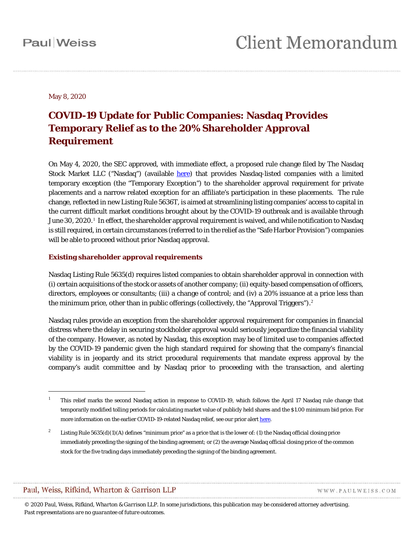May 8, 2020

### **COVID-19 Update for Public Companies: Nasdaq Provides Temporary Relief as to the 20% Shareholder Approval Requirement**

On May 4, 2020, the SEC approved, with immediate effect, a proposed rule change filed by The Nasdaq Stock Market LLC ("Nasdaq") (available [here\)](https://www.sec.gov/rules/sro/nasdaq/2020/34-88805.pdf) that provides Nasdaq-listed companies with a limited temporary exception (the "Temporary Exception") to the shareholder approval requirement for private placements and a narrow related exception for an affiliate's participation in these placements. The rule change, reflected in new Listing Rule 5636T, is aimed at streamlining listing companies' access to capital in the current difficult market conditions brought about by the COVID-19 outbreak and is available through June 30, 2020.<sup>[1](#page-0-0)</sup> In effect, the shareholder approval requirement is waived, and while notification to Nasdaq is still required, in certain circumstances (referred to in the relief as the "Safe Harbor Provision") companies will be able to proceed without prior Nasdaq approval.

### **Existing shareholder approval requirements**

Nasdaq Listing Rule 5635(d) requires listed companies to obtain shareholder approval in connection with (i) certain acquisitions of the stock or assets of another company; (ii) equity-based compensation of officers, directors, employees or consultants; (iii) a change of control; and (iv) a 20% issuance at a price less than the minimum price, other than in public offerings (collectively, the "Approval Triggers").<sup>[2](#page-0-1)</sup>

Nasdaq rules provide an exception from the shareholder approval requirement for companies in financial distress where the delay in securing stockholder approval would seriously jeopardize the financial viability of the company. However, as noted by Nasdaq, this exception may be of limited use to companies affected by the COVID-19 pandemic given the high standard required for showing that the company's financial viability is in jeopardy and its strict procedural requirements that mandate express approval by the company's audit committee and by Nasdaq prior to proceeding with the transaction, and alerting

1

WWW.PAULWEISS.COM

<span id="page-0-0"></span><sup>&</sup>lt;sup>1</sup> This relief marks the second Nasdaq action in response to COVID-19, which follows the April 17 Nasdaq rule change that temporarily modified tolling periods for calculating market value of publicly held shares and the \$1.00 minimum bid price. For more information on the earlier COVID-19-related Nasdaq relief, see our prior aler[t here.](https://www.paulweiss.com/practices/transactional/capital-markets-securities/publications/covid-19-update-for-public-companies-nasdaq-and-nyse-tolling-periods?id=36540)

<span id="page-0-1"></span><sup>&</sup>lt;sup>2</sup> Listing Rule 5635(d)(1)(A) defines "minimum price" as a price that is the lower of: (1) the Nasdaq official closing price immediately preceding the signing of the binding agreement; or (2) the average Nasdaq official closing price of the common stock for the five trading days immediately preceding the signing of the binding agreement.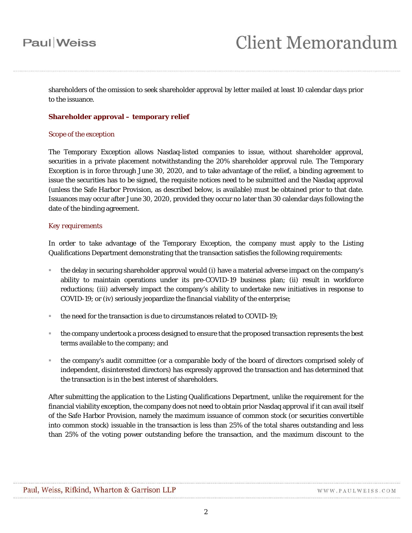## **Paul** Weiss

shareholders of the omission to seek shareholder approval by letter mailed at least 10 calendar days prior to the issuance.

### **Shareholder approval – temporary relief**

### *Scope of the exception*

The Temporary Exception allows Nasdaq-listed companies to issue, without shareholder approval, securities in a private placement notwithstanding the 20% shareholder approval rule. The Temporary Exception is in force through June 30, 2020, and to take advantage of the relief, a binding agreement to issue the securities has to be signed, the requisite notices need to be submitted and the Nasdaq approval (unless the Safe Harbor Provision, as described below, is available) must be obtained prior to that date. Issuances may occur after June 30, 2020, provided they occur no later than 30 calendar days following the date of the binding agreement.

### *Key requirements*

In order to take advantage of the Temporary Exception, the company must apply to the Listing Qualifications Department demonstrating that the transaction satisfies the following requirements:

- the delay in securing shareholder approval would (i) have a material adverse impact on the company's ability to maintain operations under its pre-COVID-19 business plan; (ii) result in workforce reductions; (iii) adversely impact the company's ability to undertake new initiatives in response to COVID-19; or (iv) seriously jeopardize the financial viability of the enterprise;
- the need for the transaction is due to circumstances related to COVID-19;
- the company undertook a process designed to ensure that the proposed transaction represents the best terms available to the company; and
- the company's audit committee (or a comparable body of the board of directors comprised solely of independent, disinterested directors) has expressly approved the transaction and has determined that the transaction is in the best interest of shareholders.

After submitting the application to the Listing Qualifications Department, unlike the requirement for the financial viability exception, the company does not need to obtain prior Nasdaq approval if it can avail itself of the Safe Harbor Provision, namely the maximum issuance of common stock (or securities convertible into common stock) issuable in the transaction is less than 25% of the total shares outstanding and less than 25% of the voting power outstanding before the transaction, and the maximum discount to the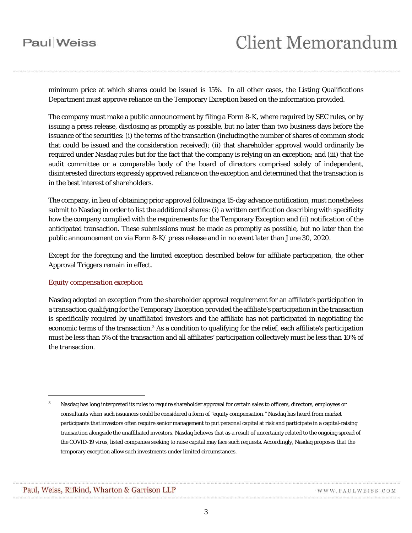### **Paul** Weiss

minimum price at which shares could be issued is 15%. In all other cases, the Listing Qualifications Department must approve reliance on the Temporary Exception based on the information provided.

The company must make a public announcement by filing a Form 8-K, where required by SEC rules, or by issuing a press release, disclosing as promptly as possible, but no later than two business days before the issuance of the securities: (i) the terms of the transaction (including the number of shares of common stock that could be issued and the consideration received); (ii) that shareholder approval would ordinarily be required under Nasdaq rules but for the fact that the company is relying on an exception; and (iii) that the audit committee or a comparable body of the board of directors comprised solely of independent, disinterested directors expressly approved reliance on the exception and determined that the transaction is in the best interest of shareholders.

The company, in lieu of obtaining prior approval following a 15-day advance notification, must nonetheless submit to Nasdaq in order to list the additional shares: (i) a written certification describing with specificity how the company complied with the requirements for the Temporary Exception and (ii) notification of the anticipated transaction. These submissions must be made as promptly as possible, but no later than the public announcement on via Form 8-K/ press release and in no event later than June 30, 2020.

Except for the foregoing and the limited exception described below for affiliate participation, the other Approval Triggers remain in effect.

### *Equity compensation exception*

Nasdaq adopted an exception from the shareholder approval requirement for an affiliate's participation in a transaction qualifying for the Temporary Exception provided the affiliate's participation in the transaction is specifically required by unaffiliated investors and the affiliate has not participated in negotiating the economic terms of the transaction.<sup>[3](#page-2-0)</sup> As a condition to qualifying for the relief, each affiliate's participation must be less than 5% of the transaction and all affiliates' participation collectively must be less than 10% of the transaction.

1

<span id="page-2-0"></span>Nasdaq has long interpreted its rules to require shareholder approval for certain sales to officers, directors, employees or consultants when such issuances could be considered a form of "equity compensation." Nasdaq has heard from market participants that investors often require senior management to put personal capital at risk and participate in a capital-raising transaction alongside the unaffiliated investors. Nasdaq believes that as a result of uncertainty related to the ongoing spread of the COVID-19 virus, listed companies seeking to raise capital may face such requests. Accordingly, Nasdaq proposes that the temporary exception allow such investments under limited circumstances.